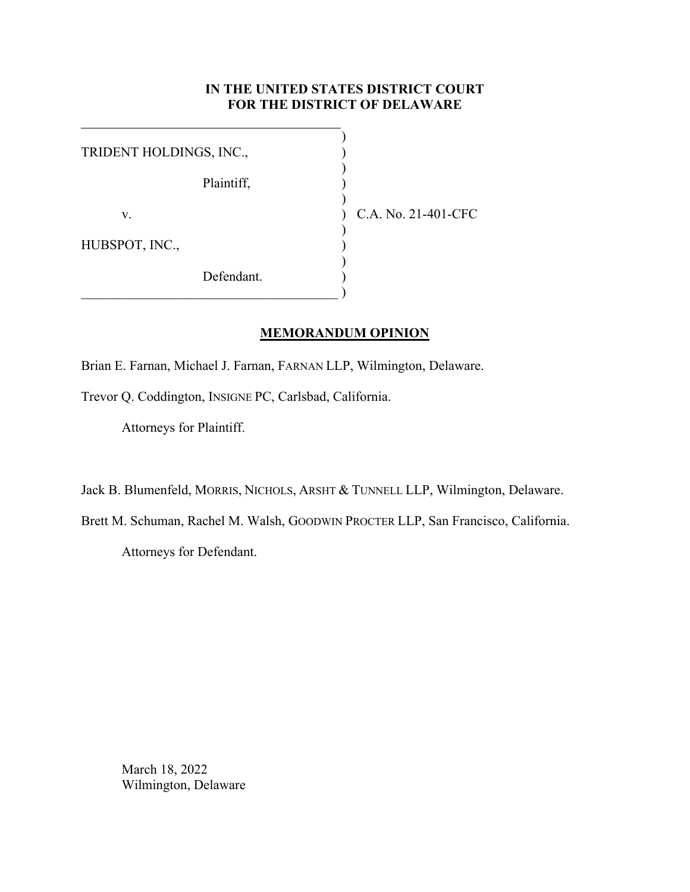## **IN THE UNITED STATES DISTRICT COURT FOR THE DISTRICT OF DELAWARE**

| TRIDENT HOLDINGS, INC., |            |                     |
|-------------------------|------------|---------------------|
|                         | Plaintiff, |                     |
| V.                      |            | C.A. No. 21-401-CFC |
| HUBSPOT, INC.,          |            |                     |
|                         | Defendant. |                     |

## **MEMORANDUM OPINION**

Brian E. Farnan, Michael J. Farnan, FARNAN LLP, Wilmington, Delaware.

Trevor Q. Coddington, INSIGNE PC, Carlsbad, California.

Attorneys for Plaintiff.

Jack B. Blumenfeld, MORRIS, NICHOLS, ARSHT & TUNNELL LLP, Wilmington, Delaware.

Brett M. Schuman, Rachel M. Walsh, GOODWIN PROCTER LLP, San Francisco, California.

Attorneys for Defendant.

March 18, 2022 Wilmington, Delaware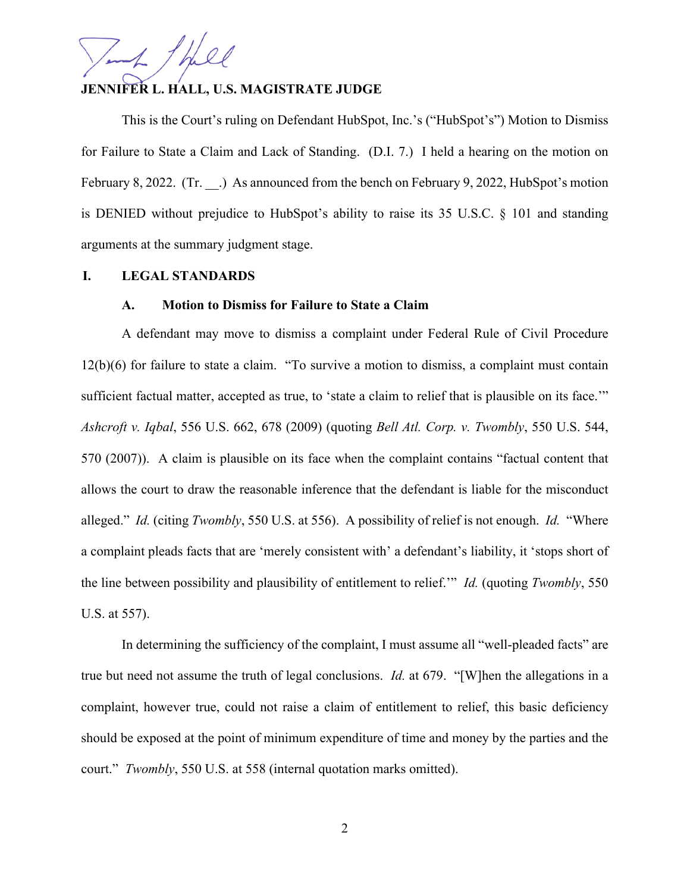# **JENNIFER L. HALL, U.S. MAGISTRATE JUDGE**

This is the Court's ruling on Defendant HubSpot, Inc.'s ("HubSpot's") Motion to Dismiss for Failure to State a Claim and Lack of Standing. (D.I. 7.) I held a hearing on the motion on February 8, 2022. (Tr. .) As announced from the bench on February 9, 2022, HubSpot's motion is DENIED without prejudice to HubSpot's ability to raise its 35 U.S.C. § 101 and standing arguments at the summary judgment stage.

## **I. LEGAL STANDARDS**

#### **A. Motion to Dismiss for Failure to State a Claim**

A defendant may move to dismiss a complaint under Federal Rule of Civil Procedure 12(b)(6) for failure to state a claim. "To survive a motion to dismiss, a complaint must contain sufficient factual matter, accepted as true, to 'state a claim to relief that is plausible on its face." *Ashcroft v. Iqbal*, 556 U.S. 662, 678 (2009) (quoting *Bell Atl. Corp. v. Twombly*, 550 U.S. 544, 570 (2007)). A claim is plausible on its face when the complaint contains "factual content that allows the court to draw the reasonable inference that the defendant is liable for the misconduct alleged." *Id.* (citing *Twombly*, 550 U.S. at 556). A possibility of relief is not enough. *Id.* "Where a complaint pleads facts that are 'merely consistent with' a defendant's liability, it 'stops short of the line between possibility and plausibility of entitlement to relief.'" *Id.* (quoting *Twombly*, 550 U.S. at 557).

In determining the sufficiency of the complaint, I must assume all "well-pleaded facts" are true but need not assume the truth of legal conclusions. *Id.* at 679. "[W]hen the allegations in a complaint, however true, could not raise a claim of entitlement to relief, this basic deficiency should be exposed at the point of minimum expenditure of time and money by the parties and the court." *Twombly*, 550 U.S. at 558 (internal quotation marks omitted).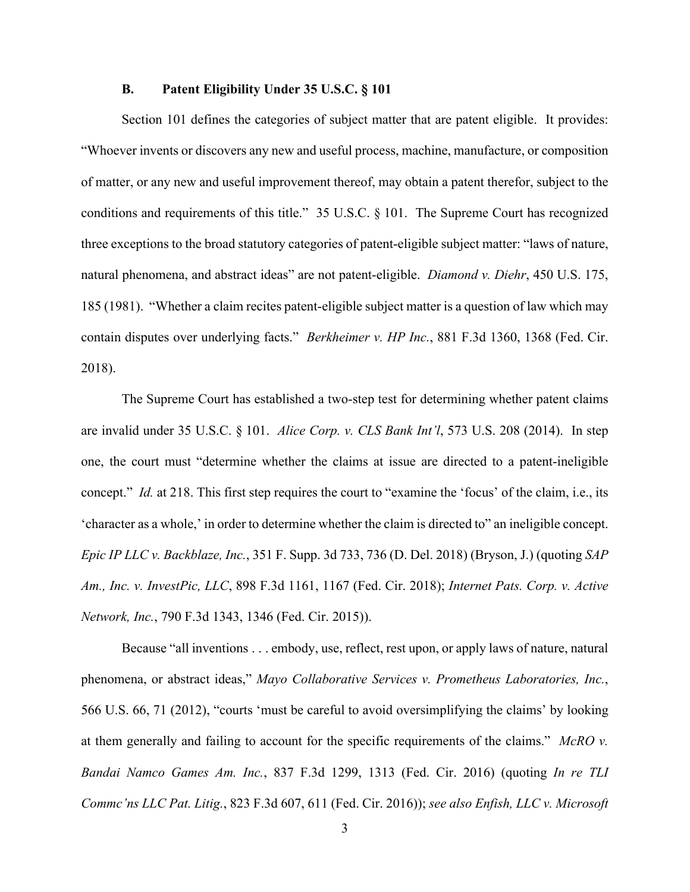## **B. Patent Eligibility Under 35 U.S.C. § 101**

Section 101 defines the categories of subject matter that are patent eligible. It provides: "Whoever invents or discovers any new and useful process, machine, manufacture, or composition of matter, or any new and useful improvement thereof, may obtain a patent therefor, subject to the conditions and requirements of this title." 35 U.S.C. § 101. The Supreme Court has recognized three exceptions to the broad statutory categories of patent-eligible subject matter: "laws of nature, natural phenomena, and abstract ideas" are not patent-eligible. *Diamond v. Diehr*, 450 U.S. 175, 185 (1981). "Whether a claim recites patent-eligible subject matter is a question of law which may contain disputes over underlying facts." *Berkheimer v. HP Inc.*, 881 F.3d 1360, 1368 (Fed. Cir. 2018).

The Supreme Court has established a two-step test for determining whether patent claims are invalid under 35 U.S.C. § 101. *Alice Corp. v. CLS Bank Int'l*, 573 U.S. 208 (2014). In step one, the court must "determine whether the claims at issue are directed to a patent-ineligible concept." *Id.* at 218. This first step requires the court to "examine the 'focus' of the claim, i.e., its 'character as a whole,' in order to determine whether the claim is directed to" an ineligible concept. *Epic IP LLC v. Backblaze, Inc.*, 351 F. Supp. 3d 733, 736 (D. Del. 2018) (Bryson, J.) (quoting *SAP Am., Inc. v. InvestPic, LLC*, 898 F.3d 1161, 1167 (Fed. Cir. 2018); *Internet Pats. Corp. v. Active Network, Inc.*, 790 F.3d 1343, 1346 (Fed. Cir. 2015)).

Because "all inventions . . . embody, use, reflect, rest upon, or apply laws of nature, natural phenomena, or abstract ideas," *Mayo Collaborative Services v. Prometheus Laboratories, Inc.*, 566 U.S. 66, 71 (2012), "courts 'must be careful to avoid oversimplifying the claims' by looking at them generally and failing to account for the specific requirements of the claims." *McRO v. Bandai Namco Games Am. Inc.*, 837 F.3d 1299, 1313 (Fed. Cir. 2016) (quoting *In re TLI Commc'ns LLC Pat. Litig.*, 823 F.3d 607, 611 (Fed. Cir. 2016)); *see also Enfish, LLC v. Microsoft*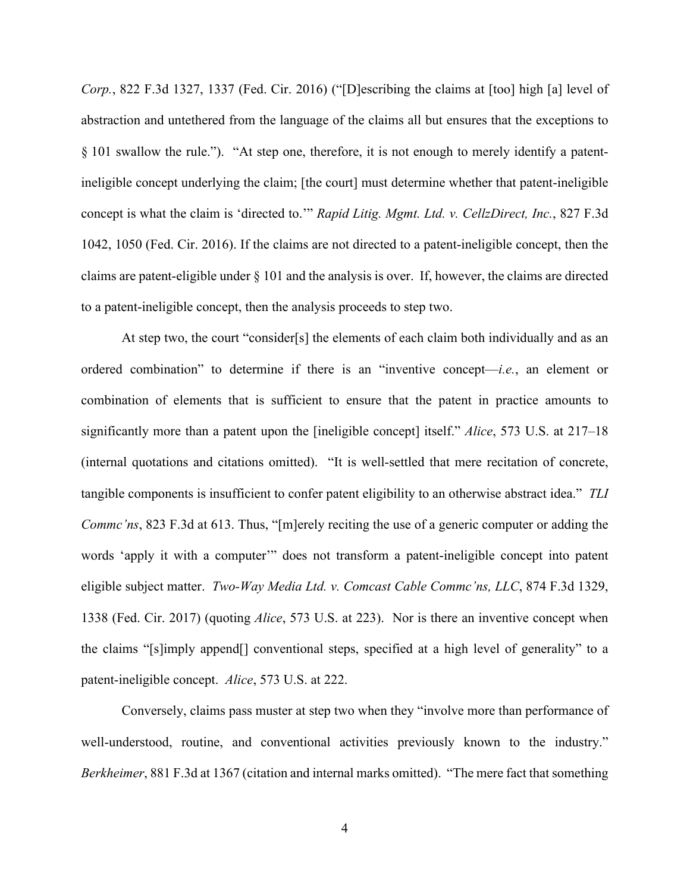*Corp.*, 822 F.3d 1327, 1337 (Fed. Cir. 2016) ("[D]escribing the claims at [too] high [a] level of abstraction and untethered from the language of the claims all but ensures that the exceptions to § 101 swallow the rule."). "At step one, therefore, it is not enough to merely identify a patentineligible concept underlying the claim; [the court] must determine whether that patent-ineligible concept is what the claim is 'directed to.'" *Rapid Litig. Mgmt. Ltd. v. CellzDirect, Inc.*, 827 F.3d 1042, 1050 (Fed. Cir. 2016). If the claims are not directed to a patent-ineligible concept, then the claims are patent-eligible under § 101 and the analysis is over. If, however, the claims are directed to a patent-ineligible concept, then the analysis proceeds to step two.

At step two, the court "consider[s] the elements of each claim both individually and as an ordered combination" to determine if there is an "inventive concept—*i.e.*, an element or combination of elements that is sufficient to ensure that the patent in practice amounts to significantly more than a patent upon the [ineligible concept] itself." *Alice*, 573 U.S. at 217–18 (internal quotations and citations omitted). "It is well-settled that mere recitation of concrete, tangible components is insufficient to confer patent eligibility to an otherwise abstract idea." *TLI Commc'ns*, 823 F.3d at 613. Thus, "[m]erely reciting the use of a generic computer or adding the words 'apply it with a computer'" does not transform a patent-ineligible concept into patent eligible subject matter. *Two-Way Media Ltd. v. Comcast Cable Commc'ns, LLC*, 874 F.3d 1329, 1338 (Fed. Cir. 2017) (quoting *Alice*, 573 U.S. at 223). Nor is there an inventive concept when the claims "[s]imply append[] conventional steps, specified at a high level of generality" to a patent-ineligible concept. *Alice*, 573 U.S. at 222.

Conversely, claims pass muster at step two when they "involve more than performance of well-understood, routine, and conventional activities previously known to the industry." *Berkheimer*, 881 F.3d at 1367 (citation and internal marks omitted). "The mere fact that something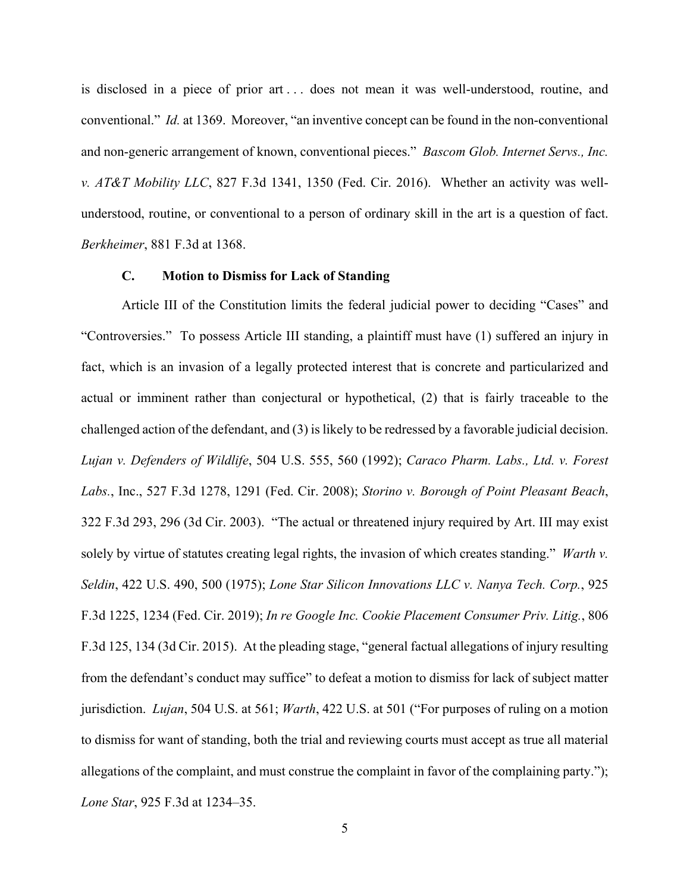is disclosed in a piece of prior art . . . does not mean it was well-understood, routine, and conventional." *Id.* at 1369. Moreover, "an inventive concept can be found in the non-conventional and non-generic arrangement of known, conventional pieces." *Bascom Glob. Internet Servs., Inc. v. AT&T Mobility LLC*, 827 F.3d 1341, 1350 (Fed. Cir. 2016). Whether an activity was wellunderstood, routine, or conventional to a person of ordinary skill in the art is a question of fact. *Berkheimer*, 881 F.3d at 1368.

#### **C. Motion to Dismiss for Lack of Standing**

Article III of the Constitution limits the federal judicial power to deciding "Cases" and "Controversies." To possess Article III standing, a plaintiff must have (1) suffered an injury in fact, which is an invasion of a legally protected interest that is concrete and particularized and actual or imminent rather than conjectural or hypothetical, (2) that is fairly traceable to the challenged action of the defendant, and (3) is likely to be redressed by a favorable judicial decision. *Lujan v. Defenders of Wildlife*, 504 U.S. 555, 560 (1992); *Caraco Pharm. Labs., Ltd. v. Forest Labs.*, Inc., 527 F.3d 1278, 1291 (Fed. Cir. 2008); *Storino v. Borough of Point Pleasant Beach*, 322 F.3d 293, 296 (3d Cir. 2003). "The actual or threatened injury required by Art. III may exist solely by virtue of statutes creating legal rights, the invasion of which creates standing." *Warth v. Seldin*, 422 U.S. 490, 500 (1975); *Lone Star Silicon Innovations LLC v. Nanya Tech. Corp.*, 925 F.3d 1225, 1234 (Fed. Cir. 2019); *In re Google Inc. Cookie Placement Consumer Priv. Litig.*, 806 F.3d 125, 134 (3d Cir. 2015). At the pleading stage, "general factual allegations of injury resulting from the defendant's conduct may suffice" to defeat a motion to dismiss for lack of subject matter jurisdiction. *Lujan*, 504 U.S. at 561; *Warth*, 422 U.S. at 501 ("For purposes of ruling on a motion to dismiss for want of standing, both the trial and reviewing courts must accept as true all material allegations of the complaint, and must construe the complaint in favor of the complaining party."); *Lone Star*, 925 F.3d at 1234–35.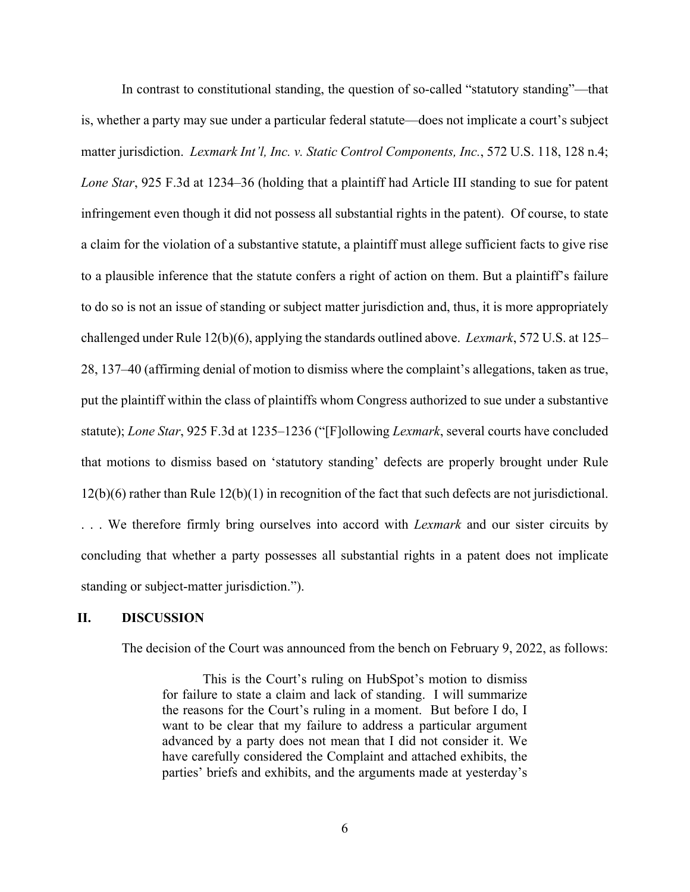In contrast to constitutional standing, the question of so-called "statutory standing"—that is, whether a party may sue under a particular federal statute—does not implicate a court's subject matter jurisdiction. *Lexmark Int'l, Inc. v. Static Control Components, Inc.*, 572 U.S. 118, 128 n.4; *Lone Star*, 925 F.3d at 1234–36 (holding that a plaintiff had Article III standing to sue for patent infringement even though it did not possess all substantial rights in the patent). Of course, to state a claim for the violation of a substantive statute, a plaintiff must allege sufficient facts to give rise to a plausible inference that the statute confers a right of action on them. But a plaintiff's failure to do so is not an issue of standing or subject matter jurisdiction and, thus, it is more appropriately challenged under Rule 12(b)(6), applying the standards outlined above. *Lexmark*, 572 U.S. at 125– 28, 137–40 (affirming denial of motion to dismiss where the complaint's allegations, taken as true, put the plaintiff within the class of plaintiffs whom Congress authorized to sue under a substantive statute); *Lone Star*, 925 F.3d at 1235–1236 ("[F]ollowing *Lexmark*, several courts have concluded that motions to dismiss based on 'statutory standing' defects are properly brought under Rule 12(b)(6) rather than Rule 12(b)(1) in recognition of the fact that such defects are not jurisdictional. . . . We therefore firmly bring ourselves into accord with *Lexmark* and our sister circuits by concluding that whether a party possesses all substantial rights in a patent does not implicate standing or subject-matter jurisdiction.").

#### **II. DISCUSSION**

The decision of the Court was announced from the bench on February 9, 2022, as follows:

This is the Court's ruling on HubSpot's motion to dismiss for failure to state a claim and lack of standing. I will summarize the reasons for the Court's ruling in a moment. But before I do, I want to be clear that my failure to address a particular argument advanced by a party does not mean that I did not consider it. We have carefully considered the Complaint and attached exhibits, the parties' briefs and exhibits, and the arguments made at yesterday's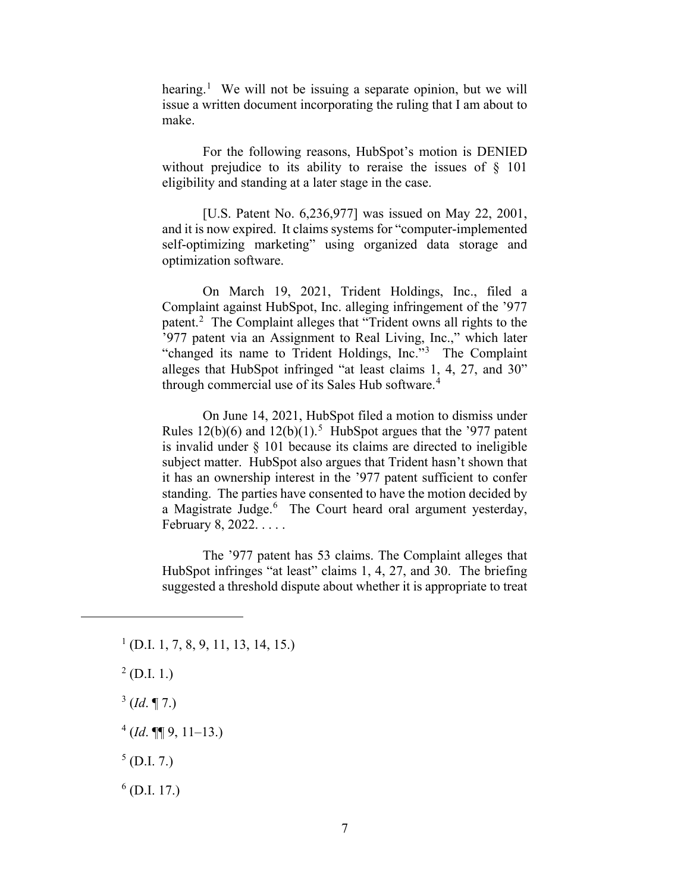hearing.<sup>[1](#page-6-0)</sup> We will not be issuing a separate opinion, but we will issue a written document incorporating the ruling that I am about to make.

For the following reasons, HubSpot's motion is DENIED without prejudice to its ability to reraise the issues of § 101 eligibility and standing at a later stage in the case.

[U.S. Patent No. 6,236,977] was issued on May 22, 2001, and it is now expired. It claims systems for "computer-implemented self-optimizing marketing" using organized data storage and optimization software.

On March 19, 2021, Trident Holdings, Inc., filed a Complaint against HubSpot, Inc. alleging infringement of the '977 patent.<sup>[2](#page-6-1)</sup> The Complaint alleges that "Trident owns all rights to the '977 patent via an Assignment to Real Living, Inc.," which later "changed its name to Trident Holdings, Inc."<sup>[3](#page-6-2)</sup> The Complaint alleges that HubSpot infringed "at least claims 1, 4, 27, and 30" through commercial use of its Sales Hub software.<sup>[4](#page-6-3)</sup>

On June 14, 2021, HubSpot filed a motion to dismiss under Rules  $12(b)(6)$  and  $12(b)(1)$ .<sup>[5](#page-6-4)</sup> HubSpot argues that the '977 patent is invalid under § 101 because its claims are directed to ineligible subject matter. HubSpot also argues that Trident hasn't shown that it has an ownership interest in the '977 patent sufficient to confer standing. The parties have consented to have the motion decided by a Magistrate Judge.<sup>[6](#page-6-5)</sup> The Court heard oral argument yesterday, February 8, 2022. . . . .

The '977 patent has 53 claims. The Complaint alleges that HubSpot infringes "at least" claims 1, 4, 27, and 30. The briefing suggested a threshold dispute about whether it is appropriate to treat

- <span id="page-6-1"></span> $^{2}$  (D.I. 1.)
- <span id="page-6-2"></span> $3$  (*Id.* ¶ 7.)

<span id="page-6-3"></span> $^{4}$  (*Id*. ¶¶ 9, 11–13.)

<span id="page-6-4"></span> $<sup>5</sup>$  (D.I. 7.)</sup>

<span id="page-6-5"></span> $<sup>6</sup>$  (D.I. 17.)</sup>

<span id="page-6-0"></span> $<sup>1</sup>$  (D.I. 1, 7, 8, 9, 11, 13, 14, 15.)</sup>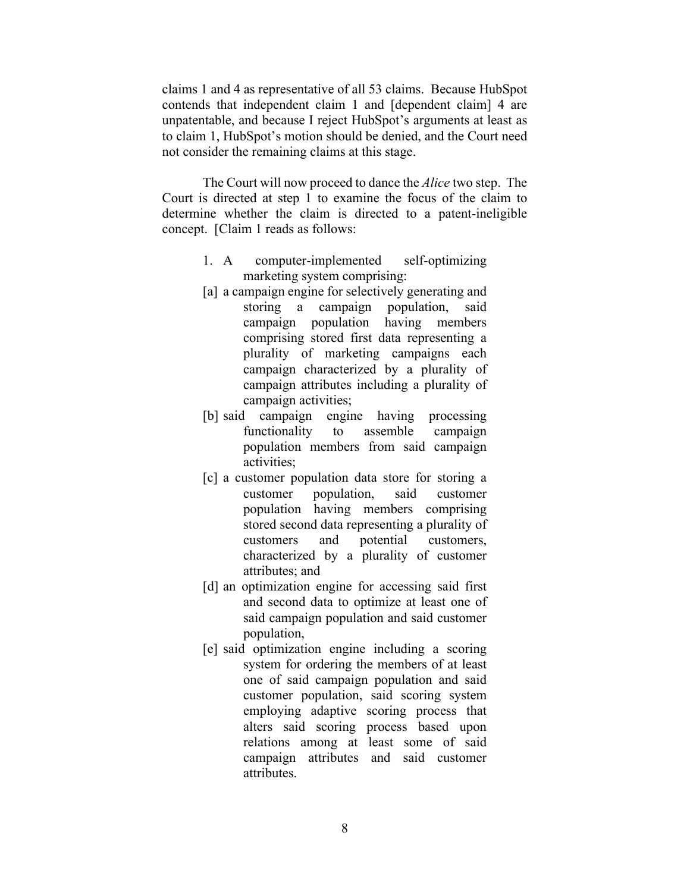claims 1 and 4 as representative of all 53 claims. Because HubSpot contends that independent claim 1 and [dependent claim] 4 are unpatentable, and because I reject HubSpot's arguments at least as to claim 1, HubSpot's motion should be denied, and the Court need not consider the remaining claims at this stage.

The Court will now proceed to dance the *Alice* two step. The Court is directed at step 1 to examine the focus of the claim to determine whether the claim is directed to a patent-ineligible concept. [Claim 1 reads as follows:

- 1. A computer-implemented self-optimizing marketing system comprising:
- [a] a campaign engine for selectively generating and storing a campaign population, said campaign population having members comprising stored first data representing a plurality of marketing campaigns each campaign characterized by a plurality of campaign attributes including a plurality of campaign activities;
- [b] said campaign engine having processing functionality to assemble campaign population members from said campaign activities;
- [c] a customer population data store for storing a customer population, said customer population having members comprising stored second data representing a plurality of customers and potential customers, characterized by a plurality of customer attributes; and
- [d] an optimization engine for accessing said first and second data to optimize at least one of said campaign population and said customer population,
- [e] said optimization engine including a scoring system for ordering the members of at least one of said campaign population and said customer population, said scoring system employing adaptive scoring process that alters said scoring process based upon relations among at least some of said campaign attributes and said customer attributes.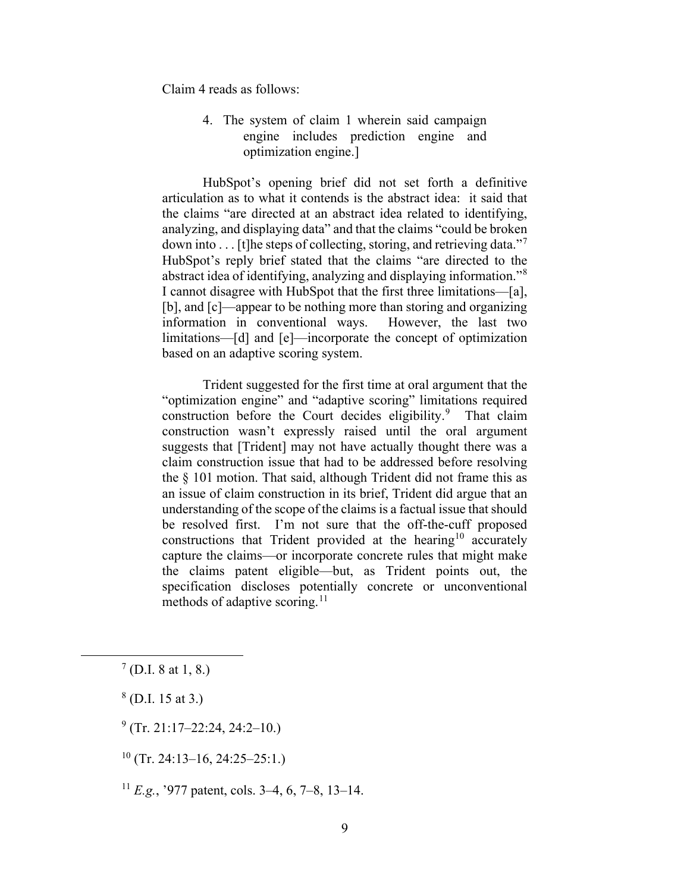Claim 4 reads as follows:

4. The system of claim 1 wherein said campaign engine includes prediction engine and optimization engine.]

HubSpot's opening brief did not set forth a definitive articulation as to what it contends is the abstract idea: it said that the claims "are directed at an abstract idea related to identifying, analyzing, and displaying data" and that the claims "could be broken down into ... [t]he steps of collecting, storing, and retrieving data."[7](#page-8-0) HubSpot's reply brief stated that the claims "are directed to the abstract idea of identifying, analyzing and displaying information."<sup>[8](#page-8-1)</sup> I cannot disagree with HubSpot that the first three limitations—[a], [b], and [c]—appear to be nothing more than storing and organizing information in conventional ways. However, the last two limitations—[d] and [e]—incorporate the concept of optimization based on an adaptive scoring system.

Trident suggested for the first time at oral argument that the "optimization engine" and "adaptive scoring" limitations required construction before the Court decides eligibility.<sup>[9](#page-8-2)</sup> That claim construction wasn't expressly raised until the oral argument suggests that [Trident] may not have actually thought there was a claim construction issue that had to be addressed before resolving the § 101 motion. That said, although Trident did not frame this as an issue of claim construction in its brief, Trident did argue that an understanding of the scope of the claims is a factual issue that should be resolved first. I'm not sure that the off-the-cuff proposed constructions that Trident provided at the hearing<sup>[10](#page-8-3)</sup> accurately capture the claims—or incorporate concrete rules that might make the claims patent eligible—but, as Trident points out, the specification discloses potentially concrete or unconventional methods of adaptive scoring.<sup>[11](#page-8-4)</sup>

<span id="page-8-0"></span> $7$  (D.I. 8 at 1, 8.)

<span id="page-8-1"></span> $8$  (D.I. 15 at 3.)

<span id="page-8-2"></span> $^{9}$  (Tr. 21:17–22:24, 24:2–10.)

<span id="page-8-3"></span> $10$  (Tr. 24:13–16, 24:25–25:1.)

<span id="page-8-4"></span><sup>11</sup> *E.g.*, '977 patent, cols. 3–4, 6, 7–8, 13–14.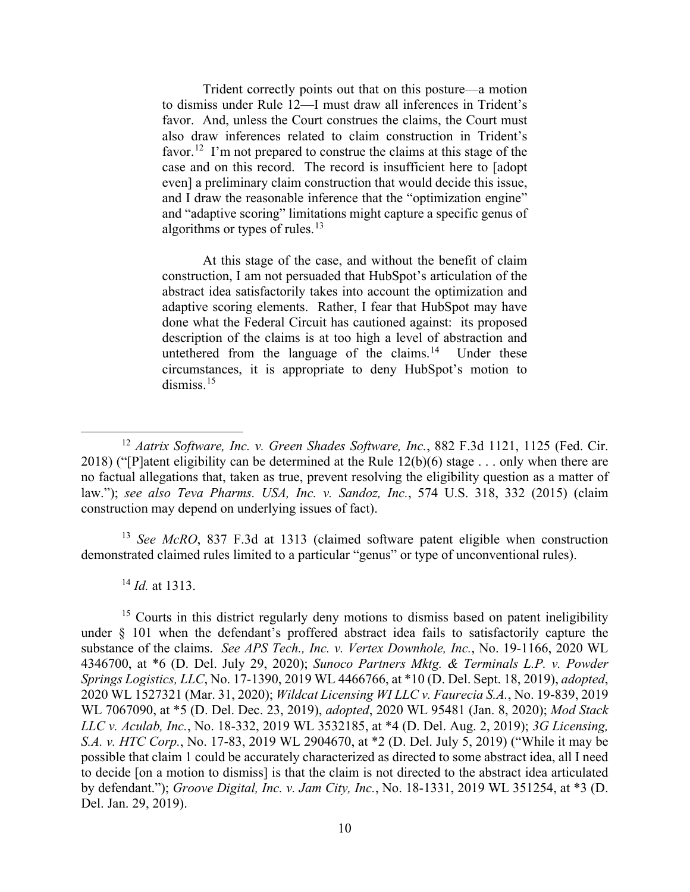Trident correctly points out that on this posture—a motion to dismiss under Rule 12—I must draw all inferences in Trident's favor. And, unless the Court construes the claims, the Court must also draw inferences related to claim construction in Trident's favor.<sup>12</sup> I'm not prepared to construe the claims at this stage of the case and on this record. The record is insufficient here to [adopt even] a preliminary claim construction that would decide this issue, and I draw the reasonable inference that the "optimization engine" and "adaptive scoring" limitations might capture a specific genus of algorithms or types of rules. $13$ 

At this stage of the case, and without the benefit of claim construction, I am not persuaded that HubSpot's articulation of the abstract idea satisfactorily takes into account the optimization and adaptive scoring elements. Rather, I fear that HubSpot may have done what the Federal Circuit has cautioned against: its proposed description of the claims is at too high a level of abstraction and untethered from the language of the claims.<sup>[14](#page-9-2)</sup> Under these circumstances, it is appropriate to deny HubSpot's motion to dismiss. $15$ 

<span id="page-9-1"></span><sup>13</sup> *See McRO*, 837 F.3d at 1313 (claimed software patent eligible when construction demonstrated claimed rules limited to a particular "genus" or type of unconventional rules).

<sup>14</sup> *Id.* at 1313.

<span id="page-9-3"></span><span id="page-9-2"></span><sup>15</sup> Courts in this district regularly deny motions to dismiss based on patent ineligibility under § 101 when the defendant's proffered abstract idea fails to satisfactorily capture the substance of the claims. *See APS Tech., Inc. v. Vertex Downhole, Inc.*, No. 19-1166, 2020 WL 4346700, at \*6 (D. Del. July 29, 2020); *Sunoco Partners Mktg. & Terminals L.P. v. Powder Springs Logistics, LLC*, No. 17-1390, 2019 WL 4466766, at \*10 (D. Del. Sept. 18, 2019), *adopted*, 2020 WL 1527321 (Mar. 31, 2020); *Wildcat Licensing WI LLC v. Faurecia S.A.*, No. 19-839, 2019 WL 7067090, at \*5 (D. Del. Dec. 23, 2019), *adopted*, 2020 WL 95481 (Jan. 8, 2020); *Mod Stack LLC v. Aculab, Inc.*, No. 18-332, 2019 WL 3532185, at \*4 (D. Del. Aug. 2, 2019); *3G Licensing, S.A. v. HTC Corp.*, No. 17-83, 2019 WL 2904670, at \*2 (D. Del. July 5, 2019) ("While it may be possible that claim 1 could be accurately characterized as directed to some abstract idea, all I need to decide [on a motion to dismiss] is that the claim is not directed to the abstract idea articulated by defendant."); *Groove Digital, Inc. v. Jam City, Inc.*, No. 18-1331, 2019 WL 351254, at \*3 (D. Del. Jan. 29, 2019).

<span id="page-9-0"></span><sup>&</sup>lt;sup>12</sup> *Aatrix Software, Inc. v. Green Shades Software, Inc.*, 882 F.3d 1121, 1125 (Fed. Cir. 2018) ("[P]atent eligibility can be determined at the Rule 12(b)(6) stage . . . only when there are no factual allegations that, taken as true, prevent resolving the eligibility question as a matter of law."); *see also Teva Pharms. USA, Inc. v. Sandoz, Inc.*, 574 U.S. 318, 332 (2015) (claim construction may depend on underlying issues of fact).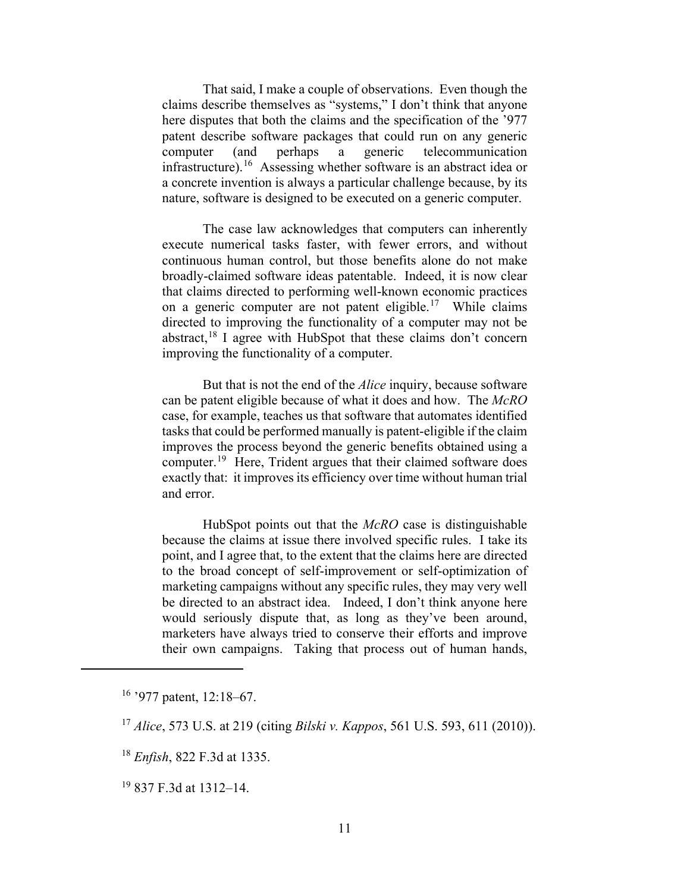That said, I make a couple of observations. Even though the claims describe themselves as "systems," I don't think that anyone here disputes that both the claims and the specification of the '977 patent describe software packages that could run on any generic computer (and perhaps a generic telecommunication infrastructure).<sup>[16](#page-10-0)</sup> Assessing whether software is an abstract idea or a concrete invention is always a particular challenge because, by its nature, software is designed to be executed on a generic computer.

The case law acknowledges that computers can inherently execute numerical tasks faster, with fewer errors, and without continuous human control, but those benefits alone do not make broadly-claimed software ideas patentable. Indeed, it is now clear that claims directed to performing well-known economic practices on a generic computer are not patent eligible.<sup>17</sup> While claims directed to improving the functionality of a computer may not be abstract, $18$  I agree with HubSpot that these claims don't concern improving the functionality of a computer.

But that is not the end of the *Alice* inquiry, because software can be patent eligible because of what it does and how. The *McRO*  case, for example, teaches us that software that automates identified tasks that could be performed manually is patent-eligible if the claim improves the process beyond the generic benefits obtained using a computer.[19](#page-10-3) Here, Trident argues that their claimed software does exactly that: it improves its efficiency over time without human trial and error.

HubSpot points out that the *McRO* case is distinguishable because the claims at issue there involved specific rules. I take its point, and I agree that, to the extent that the claims here are directed to the broad concept of self-improvement or self-optimization of marketing campaigns without any specific rules, they may very well be directed to an abstract idea. Indeed, I don't think anyone here would seriously dispute that, as long as they've been around, marketers have always tried to conserve their efforts and improve their own campaigns. Taking that process out of human hands,

<span id="page-10-0"></span> $16$  '977 patent, 12:18–67.

<span id="page-10-1"></span><sup>17</sup> *Alice*, 573 U.S. at 219 (citing *Bilski v. Kappos*, 561 U.S. 593, 611 (2010)).

<span id="page-10-2"></span><sup>18</sup> *Enfish*, 822 F.3d at 1335.

<span id="page-10-3"></span><sup>19</sup> 837 F.3d at 1312–14.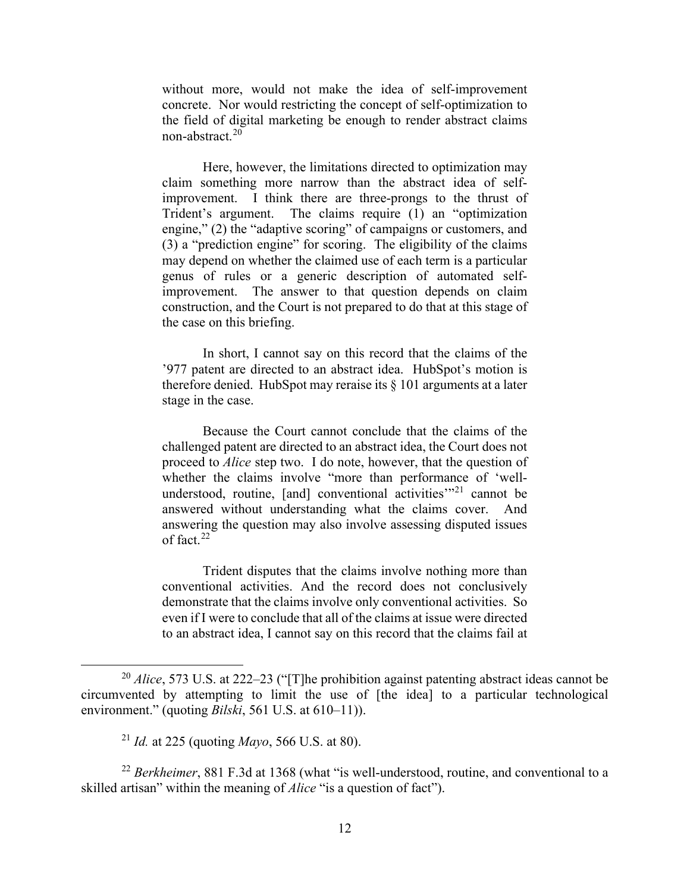without more, would not make the idea of self-improvement concrete. Nor would restricting the concept of self-optimization to the field of digital marketing be enough to render abstract claims non-abstract.[20](#page-11-0) 

Here, however, the limitations directed to optimization may claim something more narrow than the abstract idea of selfimprovement. I think there are three-prongs to the thrust of Trident's argument. The claims require (1) an "optimization engine," (2) the "adaptive scoring" of campaigns or customers, and (3) a "prediction engine" for scoring. The eligibility of the claims may depend on whether the claimed use of each term is a particular genus of rules or a generic description of automated selfimprovement. The answer to that question depends on claim construction, and the Court is not prepared to do that at this stage of the case on this briefing.

In short, I cannot say on this record that the claims of the '977 patent are directed to an abstract idea. HubSpot's motion is therefore denied. HubSpot may reraise its § 101 arguments at a later stage in the case.

Because the Court cannot conclude that the claims of the challenged patent are directed to an abstract idea, the Court does not proceed to *Alice* step two. I do note, however, that the question of whether the claims involve "more than performance of 'wellunderstood, routine,  $[and]$  conventional activities<sup> $m21$  $m21$ </sup> cannot be answered without understanding what the claims cover. And answering the question may also involve assessing disputed issues of fact.[22](#page-11-2) 

Trident disputes that the claims involve nothing more than conventional activities. And the record does not conclusively demonstrate that the claims involve only conventional activities. So even if I were to conclude that all of the claims at issue were directed to an abstract idea, I cannot say on this record that the claims fail at

<span id="page-11-0"></span><sup>&</sup>lt;sup>20</sup> *Alice*, 573 U.S. at 222–23 ("[T]he prohibition against patenting abstract ideas cannot be circumvented by attempting to limit the use of [the idea] to a particular technological environment." (quoting *Bilski*, 561 U.S. at 610–11)).

<sup>21</sup> *Id.* at 225 (quoting *Mayo*, 566 U.S. at 80).

<span id="page-11-2"></span><span id="page-11-1"></span><sup>&</sup>lt;sup>22</sup> *Berkheimer*, 881 F.3d at 1368 (what "is well-understood, routine, and conventional to a skilled artisan" within the meaning of *Alice* "is a question of fact").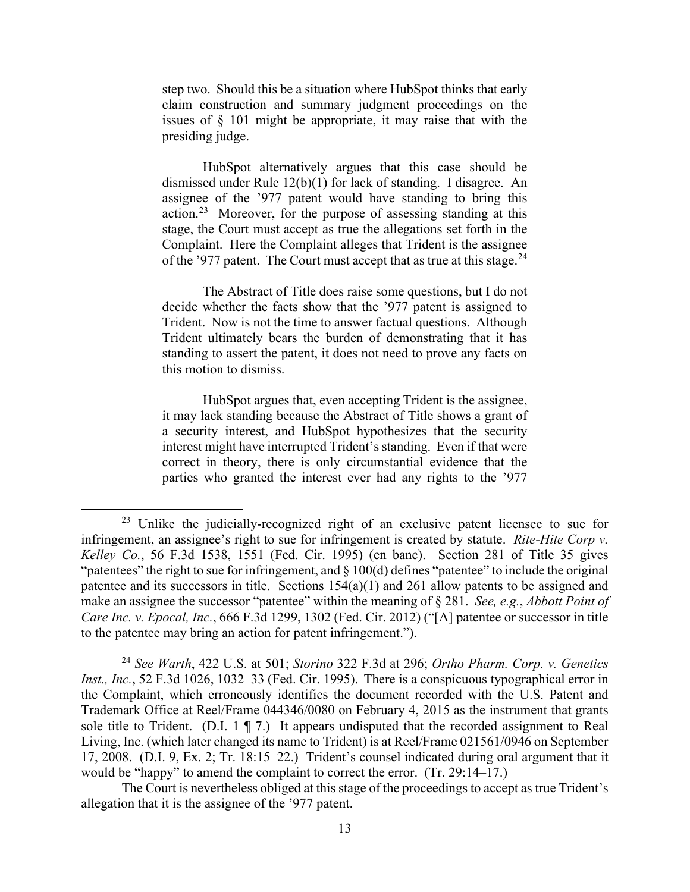step two. Should this be a situation where HubSpot thinks that early claim construction and summary judgment proceedings on the issues of § 101 might be appropriate, it may raise that with the presiding judge.

HubSpot alternatively argues that this case should be dismissed under Rule 12(b)(1) for lack of standing. I disagree. An assignee of the '977 patent would have standing to bring this action.[23](#page-12-0) Moreover, for the purpose of assessing standing at this stage, the Court must accept as true the allegations set forth in the Complaint. Here the Complaint alleges that Trident is the assignee of the '977 patent. The Court must accept that as true at this stage.<sup>[24](#page-12-1)</sup>

The Abstract of Title does raise some questions, but I do not decide whether the facts show that the '977 patent is assigned to Trident. Now is not the time to answer factual questions. Although Trident ultimately bears the burden of demonstrating that it has standing to assert the patent, it does not need to prove any facts on this motion to dismiss.

HubSpot argues that, even accepting Trident is the assignee, it may lack standing because the Abstract of Title shows a grant of a security interest, and HubSpot hypothesizes that the security interest might have interrupted Trident's standing. Even if that were correct in theory, there is only circumstantial evidence that the parties who granted the interest ever had any rights to the '977

<span id="page-12-0"></span><sup>&</sup>lt;sup>23</sup> Unlike the judicially-recognized right of an exclusive patent licensee to sue for infringement, an assignee's right to sue for infringement is created by statute. *Rite-Hite Corp v. Kelley Co.*, 56 F.3d 1538, 1551 (Fed. Cir. 1995) (en banc). Section 281 of Title 35 gives "patentees" the right to sue for infringement, and § 100(d) defines "patentee" to include the original patentee and its successors in title. Sections 154(a)(1) and 261 allow patents to be assigned and make an assignee the successor "patentee" within the meaning of § 281. *See, e.g.*, *Abbott Point of Care Inc. v. Epocal, Inc.*, 666 F.3d 1299, 1302 (Fed. Cir. 2012) ("[A] patentee or successor in title to the patentee may bring an action for patent infringement.").

<span id="page-12-1"></span><sup>24</sup> *See Warth*, 422 U.S. at 501; *Storino* 322 F.3d at 296; *Ortho Pharm. Corp. v. Genetics Inst., Inc.*, 52 F.3d 1026, 1032–33 (Fed. Cir. 1995). There is a conspicuous typographical error in the Complaint, which erroneously identifies the document recorded with the U.S. Patent and Trademark Office at Reel/Frame 044346/0080 on February 4, 2015 as the instrument that grants sole title to Trident. (D.I. 1 ¶ 7.) It appears undisputed that the recorded assignment to Real Living, Inc. (which later changed its name to Trident) is at Reel/Frame 021561/0946 on September 17, 2008. (D.I. 9, Ex. 2; Tr. 18:15–22.) Trident's counsel indicated during oral argument that it would be "happy" to amend the complaint to correct the error. (Tr. 29:14–17.)

The Court is nevertheless obliged at this stage of the proceedings to accept as true Trident's allegation that it is the assignee of the '977 patent.